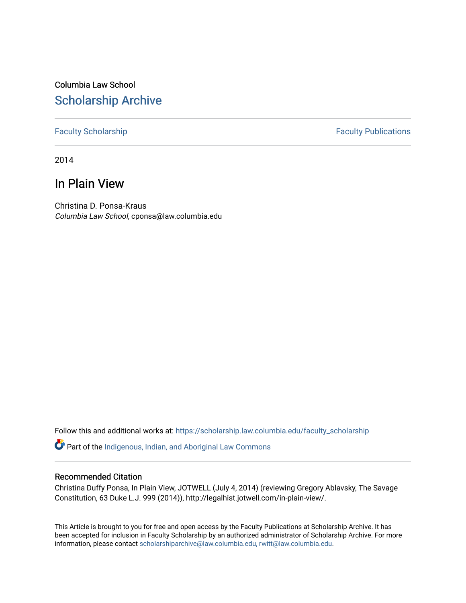Columbia Law School [Scholarship Archive](https://scholarship.law.columbia.edu/) 

## [Faculty Scholarship](https://scholarship.law.columbia.edu/faculty_scholarship) **Faculty Publications**

2014

## In Plain View

Christina D. Ponsa-Kraus Columbia Law School, cponsa@law.columbia.edu

Follow this and additional works at: [https://scholarship.law.columbia.edu/faculty\\_scholarship](https://scholarship.law.columbia.edu/faculty_scholarship?utm_source=scholarship.law.columbia.edu%2Ffaculty_scholarship%2F3241&utm_medium=PDF&utm_campaign=PDFCoverPages)

Part of the [Indigenous, Indian, and Aboriginal Law Commons](http://network.bepress.com/hgg/discipline/894?utm_source=scholarship.law.columbia.edu%2Ffaculty_scholarship%2F3241&utm_medium=PDF&utm_campaign=PDFCoverPages) 

## Recommended Citation

Christina Duffy Ponsa, In Plain View, JOTWELL (July 4, 2014) (reviewing Gregory Ablavsky, The Savage Constitution, 63 Duke L.J. 999 (2014)), http://legalhist.jotwell.com/in-plain-view/.

This Article is brought to you for free and open access by the Faculty Publications at Scholarship Archive. It has been accepted for inclusion in Faculty Scholarship by an authorized administrator of Scholarship Archive. For more information, please contact [scholarshiparchive@law.columbia.edu, rwitt@law.columbia.edu](mailto:scholarshiparchive@law.columbia.edu,%20rwitt@law.columbia.edu).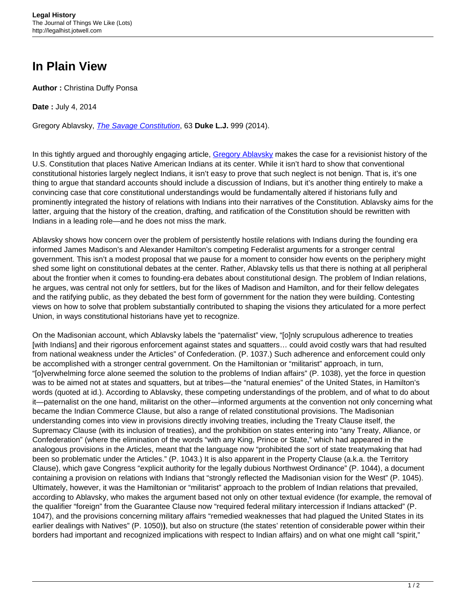## **In Plain View**

**Author :** Christina Duffy Ponsa

**Date :** July 4, 2014

Gregory Ablavsky, [The Savage Constitution](http://scholarship.law.duke.edu/cgi/viewcontent.cgi?article=3412&context=dlj), 63 **Duke L.J.** 999 (2014).

In this tightly argued and thoroughly engaging article, Gregory Ablaysky makes the case for a revisionist history of the U.S. Constitution that places Native American Indians at its center. While it isn't hard to show that conventional constitutional histories largely neglect Indians, it isn't easy to prove that such neglect is not benign. That is, it's one thing to argue that standard accounts should include a discussion of Indians, but it's another thing entirely to make a convincing case that core constitutional understandings would be fundamentally altered if historians fully and prominently integrated the history of relations with Indians into their narratives of the Constitution. Ablavsky aims for the latter, arguing that the history of the creation, drafting, and ratification of the Constitution should be rewritten with Indians in a leading role—and he does not miss the mark.

Ablavsky shows how concern over the problem of persistently hostile relations with Indians during the founding era informed James Madison's and Alexander Hamilton's competing Federalist arguments for a stronger central government. This isn't a modest proposal that we pause for a moment to consider how events on the periphery might shed some light on constitutional debates at the center. Rather, Ablavsky tells us that there is nothing at all peripheral about the frontier when it comes to founding-era debates about constitutional design. The problem of Indian relations, he argues, was central not only for settlers, but for the likes of Madison and Hamilton, and for their fellow delegates and the ratifying public, as they debated the best form of government for the nation they were building. Contesting views on how to solve that problem substantially contributed to shaping the visions they articulated for a more perfect Union, in ways constitutional historians have yet to recognize.

On the Madisonian account, which Ablavsky labels the "paternalist" view, "[o]nly scrupulous adherence to treaties [with Indians] and their rigorous enforcement against states and squatters… could avoid costly wars that had resulted from national weakness under the Articles" of Confederation. (P. 1037.) Such adherence and enforcement could only be accomplished with a stronger central government. On the Hamiltonian or "militarist" approach, in turn, "[o]verwhelming force alone seemed the solution to the problems of Indian affairs" (P. 1038), yet the force in question was to be aimed not at states and squatters, but at tribes—the "natural enemies" of the United States, in Hamilton's words (quoted at id.). According to Ablavsky, these competing understandings of the problem, and of what to do about it—paternalist on the one hand, militarist on the other—informed arguments at the convention not only concerning what became the Indian Commerce Clause, but also a range of related constitutional provisions. The Madisonian understanding comes into view in provisions directly involving treaties, including the Treaty Clause itself, the Supremacy Clause (with its inclusion of treaties), and the prohibition on states entering into "any Treaty, Alliance, or Confederation" (where the elimination of the words "with any King, Prince or State," which had appeared in the analogous provisions in the Articles, meant that the language now "prohibited the sort of state treatymaking that had been so problematic under the Articles." (P. 1043.) It is also apparent in the Property Clause (a.k.a. the Territory Clause), which gave Congress "explicit authority for the legally dubious Northwest Ordinance" (P. 1044), a document containing a provision on relations with Indians that "strongly reflected the Madisonian vision for the West" (P. 1045). Ultimately, however, it was the Hamiltonian or "militarist" approach to the problem of Indian relations that prevailed, according to Ablavsky, who makes the argument based not only on other textual evidence (for example, the removal of the qualifier "foreign" from the Guarantee Clause now "required federal military intercession if Indians attacked" (P. 1047), and the provisions concerning military affairs "remedied weaknesses that had plagued the United States in its earlier dealings with Natives" (P. 1050)**)**, but also on structure (the states' retention of considerable power within their borders had important and recognized implications with respect to Indian affairs) and on what one might call "spirit,"